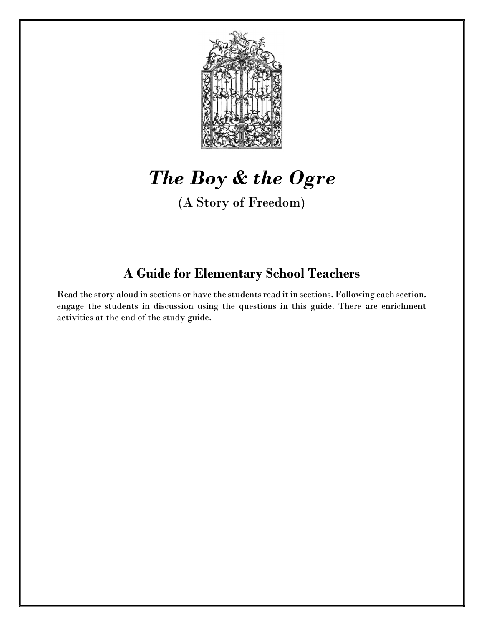

# The Boy & the Ogre

(A Story of Freedom)

## A Guide for Elementary School Teachers

Read the story aloud in sections or have the students read it in sections. Following each section, engage the students in discussion using the questions in this guide. There are enrichment activities at the end of the study guide.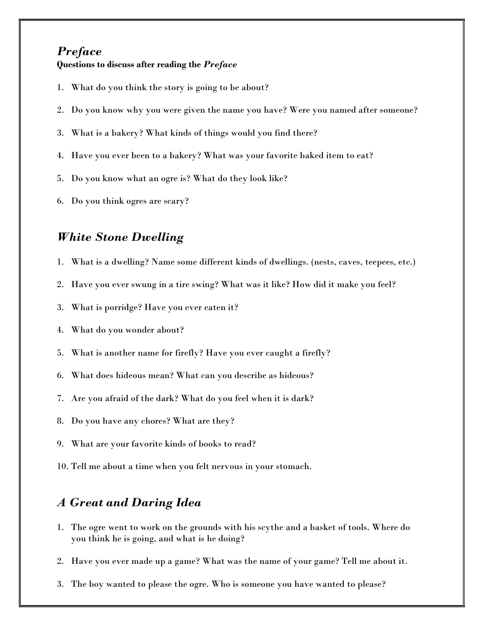#### **Preface**

#### Questions to discuss after reading the Preface

- 1. What do you think the story is going to be about?
- 2. Do you know why you were given the name you have? Were you named after someone?
- 3. What is a bakery? What kinds of things would you find there?
- 4. Have you ever been to a bakery? What was your favorite baked item to eat?
- 5. Do you know what an ogre is? What do they look like?
- 6. Do you think ogres are scary?

#### White Stone Dwelling

- 1. What is a dwelling? Name some different kinds of dwellings. (nests, caves, teepees, etc.)
- 2. Have you ever swung in a tire swing? What was it like? How did it make you feel?
- 3. What is porridge? Have you ever eaten it?
- 4. What do you wonder about?
- 5. What is another name for firefly? Have you ever caught a firefly?
- 6. What does hideous mean? What can you describe as hideous?
- 7. Are you afraid of the dark? What do you feel when it is dark?
- 8. Do you have any chores? What are they?
- 9. What are your favorite kinds of books to read?
- 10. Tell me about a time when you felt nervous in your stomach.

#### A Great and Daring Idea

- 1. The ogre went to work on the grounds with his scythe and a basket of tools. Where do you think he is going, and what is he doing?
- 2. Have you ever made up a game? What was the name of your game? Tell me about it.
- 3. The boy wanted to please the ogre. Who is someone you have wanted to please?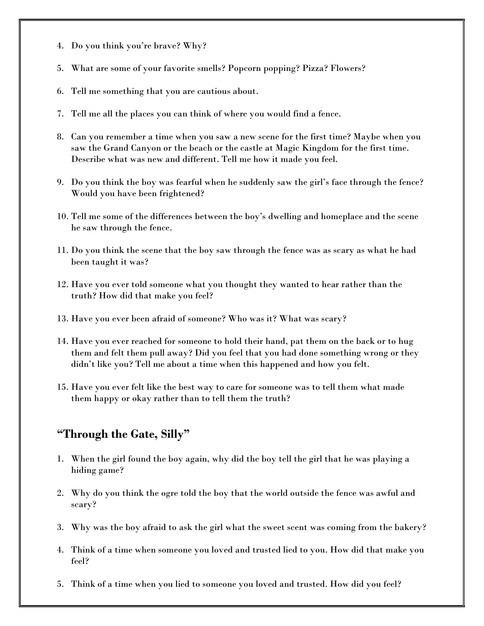- 4. Do you think you're brave? Why?
- 5. What are some of your favorite smells? Popcorn popping? Pizza? Flowers?
- 6. Tell me something that you are cautious about.
- 7. Tell me all the places you can think of where you would find a fence.
- 8. Can you remember a time when you saw a new scene for the first time? Maybe when you saw the Grand Canyon or the beach or the castle at Magic Kingdom for the first time. Describe what was new and different. Tell me how it made you feel.
- 9. Do you think the boy was fearful when he suddenly saw the girl's face through the fence? Would you have been frightened?
- 10. Tell me some of the differences between the boy's dwelling and homeplace and the scene he saw through the fence.
- 11. Do you think the scene that the boy saw through the fence was as scary as what he had been taught it was?
- 12. Have you ever told someone what you thought they wanted to hear rather than the truth? How did that make you feel?
- 13. Have you ever been afraid of someone? Who was it? What was scary?
- 14. Have you ever reached for someone to hold their hand, pat them on the back or to hug them and felt them pull away? Did you feel that you had done something wrong or they didn't like you? Tell me about a time when this happened and how you felt.
- 15. Have you ever felt like the best way to care for someone was to tell them what made them happy or okay rather than to tell them the truth?

#### "Through the Gate, Silly"

- 1. When the girl found the boy again, why did the boy tell the girl that he was playing a hiding game?
- 2. Why do you think the ogre told the boy that the world outside the fence was awful and scary?
- 3. Why was the boy afraid to ask the girl what the sweet scent was coming from the bakery?
- 4. Think of a time when someone you loved and trusted lied to you. How did that make you feel?
- 5. Think of a time when you lied to someone you loved and trusted. How did you feel?